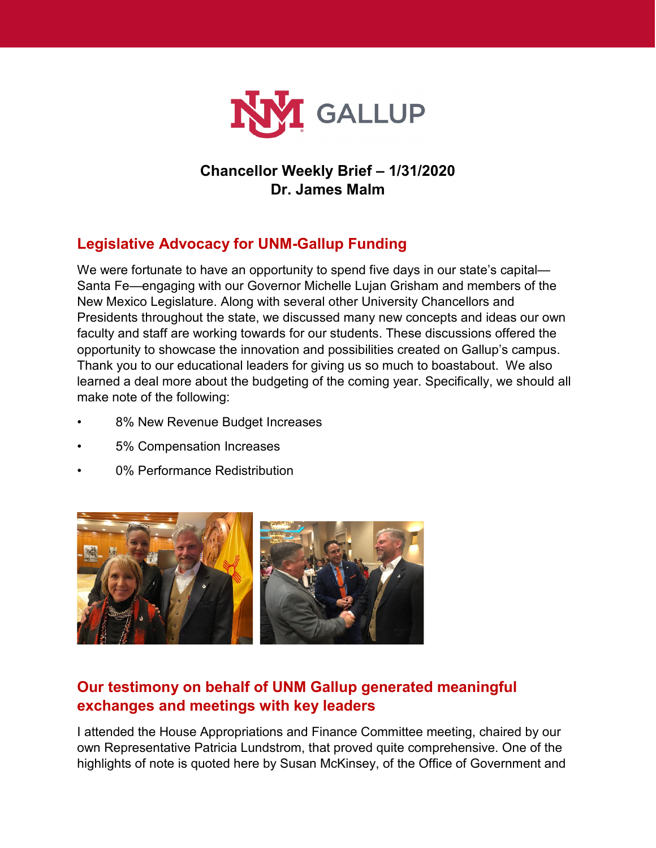

## **Chancellor Weekly Brief – 1/31/2020 Dr. James Malm**

## **Legislative Advocacy for UNM-Gallup Funding**

We were fortunate to have an opportunity to spend five days in our state's capital— Santa Fe—engaging with our Governor Michelle Lujan Grisham and members of the New Mexico Legislature. Along with several other University Chancellors and Presidents throughout the state, we discussed many new concepts and ideas our own faculty and staff are working towards for our students. These discussions offered the opportunity to showcase the innovation and possibilities created on Gallup's campus. Thank you to our educational leaders for giving us so much to boastabout. We also learned a deal more about the budgeting of the coming year. Specifically, we should all make note of the following:

- 8% New Revenue Budget Increases
- 5% Compensation Increases
- 0% Performance Redistribution



## **Our testimony on behalf of UNM Gallup generated meaningful exchanges and meetings with key leaders**

I attended the House Appropriations and Finance Committee meeting, chaired by our own Representative Patricia Lundstrom, that proved quite comprehensive. One of the highlights of note is quoted here by Susan McKinsey, of the Office of Government and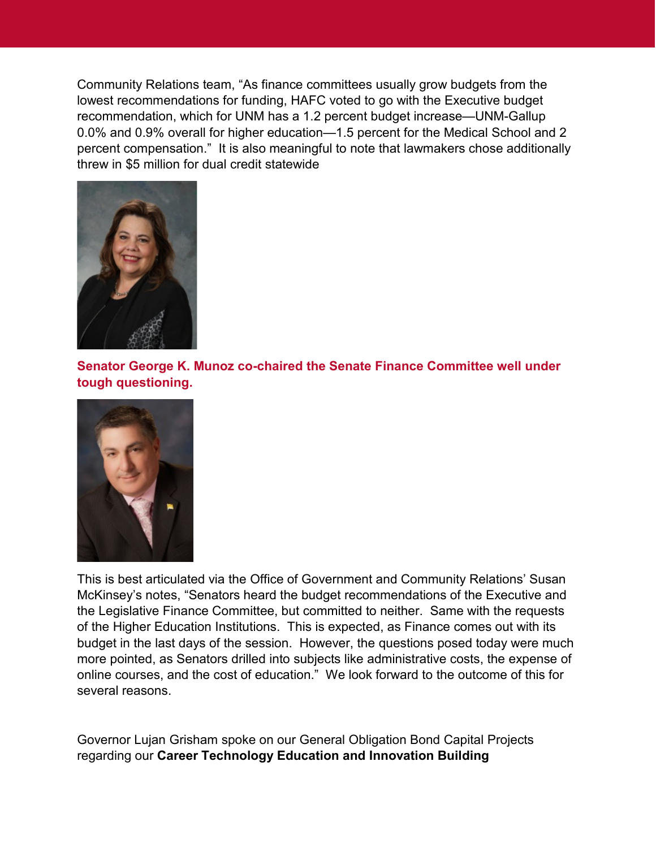Community Relations team, "As finance committees usually grow budgets from the lowest recommendations for funding, HAFC voted to go with the Executive budget recommendation, which for UNM has a 1.2 percent budget increase—UNM-Gallup 0.0% and 0.9% overall for higher education—1.5 percent for the Medical School and 2 percent compensation." It is also meaningful to note that lawmakers chose additionally threw in \$5 million for dual credit statewide



**Senator George K. Munoz co-chaired the Senate Finance Committee well under tough questioning.**



This is best articulated via the Office of Government and Community Relations' Susan McKinsey's notes, "Senators heard the budget recommendations of the Executive and the Legislative Finance Committee, but committed to neither. Same with the requests of the Higher Education Institutions. This is expected, as Finance comes out with its budget in the last days of the session. However, the questions posed today were much more pointed, as Senators drilled into subjects like administrative costs, the expense of online courses, and the cost of education." We look forward to the outcome of this for several reasons.

Governor Lujan Grisham spoke on our General Obligation Bond Capital Projects regarding our **Career Technology Education and Innovation Building**